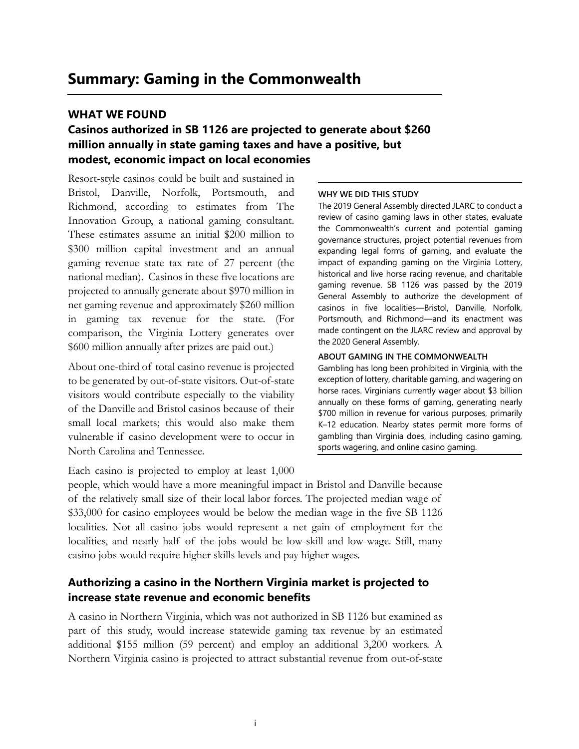### **WHAT WE FOUND**

# **Casinos authorized in SB 1126 are projected to generate about \$260 million annually in state gaming taxes and have a positive, but modest, economic impact on local economies**

Resort-style casinos could be built and sustained in Bristol, Danville, Norfolk, Portsmouth, and Richmond, according to estimates from The Innovation Group, a national gaming consultant. These estimates assume an initial \$200 million to \$300 million capital investment and an annual gaming revenue state tax rate of 27 percent (the national median). Casinos in these five locations are projected to annually generate about \$970 million in net gaming revenue and approximately \$260 million in gaming tax revenue for the state. (For comparison, the Virginia Lottery generates over \$600 million annually after prizes are paid out.)

About one-third of total casino revenue is projected to be generated by out-of-state visitors. Out-of-state visitors would contribute especially to the viability of the Danville and Bristol casinos because of their small local markets; this would also make them vulnerable if casino development were to occur in North Carolina and Tennessee.

#### **WHY WE DID THIS STUDY**

The 2019 General Assembly directed JLARC to conduct a review of casino gaming laws in other states, evaluate the Commonwealth's current and potential gaming governance structures, project potential revenues from expanding legal forms of gaming, and evaluate the impact of expanding gaming on the Virginia Lottery, historical and live horse racing revenue, and charitable gaming revenue. SB 1126 was passed by the 2019 General Assembly to authorize the development of casinos in five localities—Bristol, Danville, Norfolk, Portsmouth, and Richmond—and its enactment was made contingent on the JLARC review and approval by the 2020 General Assembly.

#### **ABOUT GAMING IN THE COMMONWEALTH**

Gambling has long been prohibited in Virginia, with the exception of lottery, charitable gaming, and wagering on horse races. Virginians currently wager about \$3 billion annually on these forms of gaming, generating nearly \$700 million in revenue for various purposes, primarily K–12 education. Nearby states permit more forms of gambling than Virginia does, including casino gaming, sports wagering, and online casino gaming.

Each casino is projected to employ at least 1,000

people, which would have a more meaningful impact in Bristol and Danville because of the relatively small size of their local labor forces. The projected median wage of \$33,000 for casino employees would be below the median wage in the five SB 1126 localities. Not all casino jobs would represent a net gain of employment for the localities, and nearly half of the jobs would be low-skill and low-wage. Still, many casino jobs would require higher skills levels and pay higher wages.

## **Authorizing a casino in the Northern Virginia market is projected to increase state revenue and economic benefits**

A casino in Northern Virginia, which was not authorized in SB 1126 but examined as part of this study, would increase statewide gaming tax revenue by an estimated additional \$155 million (59 percent) and employ an additional 3,200 workers. A Northern Virginia casino is projected to attract substantial revenue from out-of-state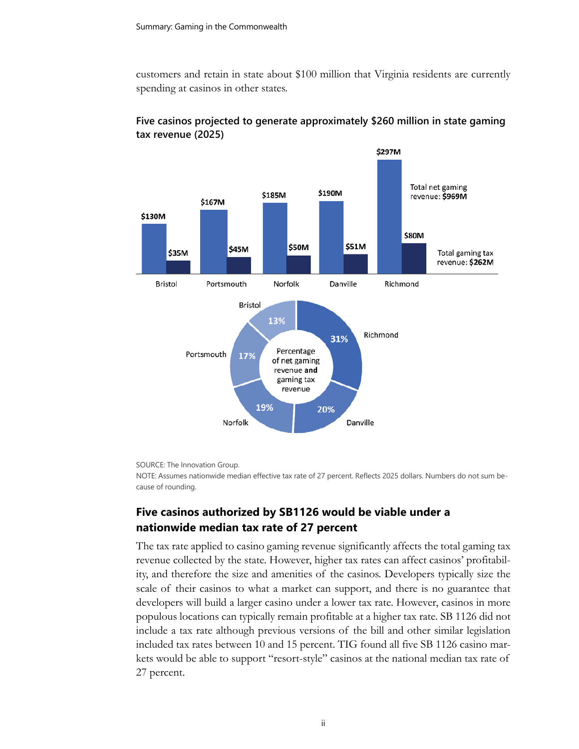customers and retain in state about \$100 million that Virginia residents are currently spending at casinos in other states.



## **Five casinos projected to generate approximately \$260 million in state gaming tax revenue (2025)**

SOURCE: The Innovation Group.

NOTE: Assumes nationwide median effective tax rate of 27 percent. Reflects 2025 dollars. Numbers do not sum because of rounding.

## **Five casinos authorized by SB1126 would be viable under a nationwide median tax rate of 27 percent**

The tax rate applied to casino gaming revenue significantly affects the total gaming tax revenue collected by the state. However, higher tax rates can affect casinos' profitability, and therefore the size and amenities of the casinos. Developers typically size the scale of their casinos to what a market can support, and there is no guarantee that developers will build a larger casino under a lower tax rate. However, casinos in more populous locations can typically remain profitable at a higher tax rate. SB 1126 did not include a tax rate although previous versions of the bill and other similar legislation included tax rates between 10 and 15 percent. TIG found all five SB 1126 casino markets would be able to support "resort-style" casinos at the national median tax rate of 27 percent.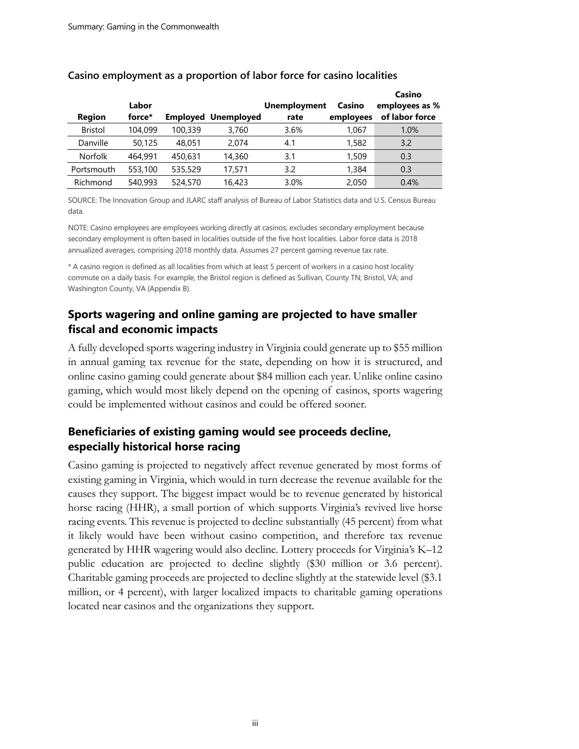| <b>Region</b>  | Labor<br>force* |         | <b>Employed Unemployed</b> | <b>Unemployment</b><br>rate | Casino<br>employees | Casino<br>employees as %<br>of labor force |
|----------------|-----------------|---------|----------------------------|-----------------------------|---------------------|--------------------------------------------|
| <b>Bristol</b> | 104,099         | 100,339 | 3,760                      | 3.6%                        | 1,067               | 1.0%                                       |
| Danville       | 50,125          | 48.051  | 2.074                      | 4.1                         | 1,582               | 3.2                                        |
| Norfolk        | 464,991         | 450,631 | 14,360                     | 3.1                         | 1,509               | 0.3                                        |
| Portsmouth     | 553,100         | 535,529 | 17,571                     | 3.2                         | 1,384               | 0.3                                        |
| Richmond       | 540,993         | 524,570 | 16,423                     | 3.0%                        | 2,050               | 0.4%                                       |

#### **Casino employment as a proportion of labor force for casino localities**

SOURCE: The Innovation Group and JLARC staff analysis of Bureau of Labor Statistics data and U.S. Census Bureau data.

NOTE: Casino employees are employees working directly at casinos; excludes secondary employment because secondary employment is often based in localities outside of the five host localities. Labor force data is 2018 annualized averages, comprising 2018 monthly data. Assumes 27 percent gaming revenue tax rate.

\* A casino region is defined as all localities from which at least 5 percent of workers in a casino host locality commute on a daily basis. For example, the Bristol region is defined as Sullivan, County TN; Bristol, VA; and Washington County, VA (Appendix B).

## **Sports wagering and online gaming are projected to have smaller fiscal and economic impacts**

A fully developed sports wagering industry in Virginia could generate up to \$55 million in annual gaming tax revenue for the state, depending on how it is structured, and online casino gaming could generate about \$84 million each year. Unlike online casino gaming, which would most likely depend on the opening of casinos, sports wagering could be implemented without casinos and could be offered sooner.

## **Beneficiaries of existing gaming would see proceeds decline, especially historical horse racing**

Casino gaming is projected to negatively affect revenue generated by most forms of existing gaming in Virginia, which would in turn decrease the revenue available for the causes they support. The biggest impact would be to revenue generated by historical horse racing (HHR), a small portion of which supports Virginia's revived live horse racing events. This revenue is projected to decline substantially (45 percent) from what it likely would have been without casino competition, and therefore tax revenue generated by HHR wagering would also decline. Lottery proceeds for Virginia's K–12 public education are projected to decline slightly (\$30 million or 3.6 percent). Charitable gaming proceeds are projected to decline slightly at the statewide level (\$3.1 million, or 4 percent), with larger localized impacts to charitable gaming operations located near casinos and the organizations they support.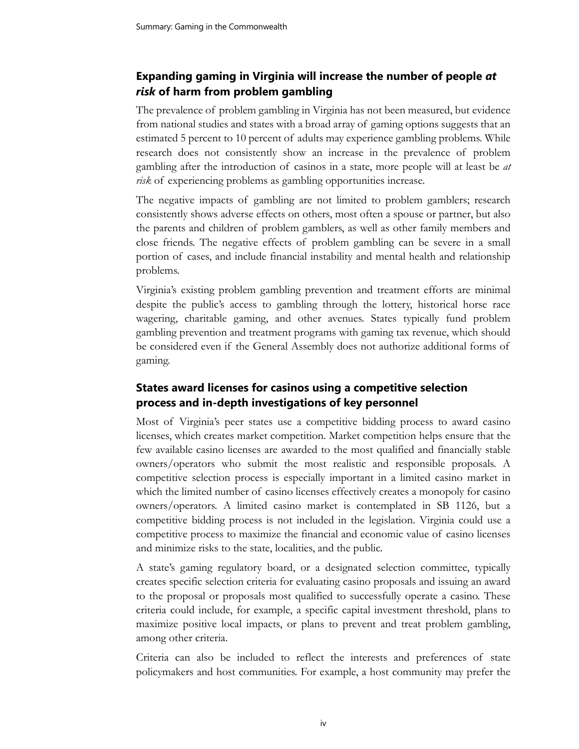# **Expanding gaming in Virginia will increase the number of people** *at risk* **of harm from problem gambling**

The prevalence of problem gambling in Virginia has not been measured, but evidence from national studies and states with a broad array of gaming options suggests that an estimated 5 percent to 10 percent of adults may experience gambling problems. While research does not consistently show an increase in the prevalence of problem gambling after the introduction of casinos in a state, more people will at least be *at risk* of experiencing problems as gambling opportunities increase.

The negative impacts of gambling are not limited to problem gamblers; research consistently shows adverse effects on others, most often a spouse or partner, but also the parents and children of problem gamblers, as well as other family members and close friends. The negative effects of problem gambling can be severe in a small portion of cases, and include financial instability and mental health and relationship problems.

Virginia's existing problem gambling prevention and treatment efforts are minimal despite the public's access to gambling through the lottery, historical horse race wagering, charitable gaming, and other avenues. States typically fund problem gambling prevention and treatment programs with gaming tax revenue, which should be considered even if the General Assembly does not authorize additional forms of gaming.

# **States award licenses for casinos using a competitive selection process and in-depth investigations of key personnel**

Most of Virginia's peer states use a competitive bidding process to award casino licenses, which creates market competition. Market competition helps ensure that the few available casino licenses are awarded to the most qualified and financially stable owners/operators who submit the most realistic and responsible proposals. A competitive selection process is especially important in a limited casino market in which the limited number of casino licenses effectively creates a monopoly for casino owners/operators. A limited casino market is contemplated in SB 1126, but a competitive bidding process is not included in the legislation. Virginia could use a competitive process to maximize the financial and economic value of casino licenses and minimize risks to the state, localities, and the public.

A state's gaming regulatory board, or a designated selection committee, typically creates specific selection criteria for evaluating casino proposals and issuing an award to the proposal or proposals most qualified to successfully operate a casino. These criteria could include, for example, a specific capital investment threshold, plans to maximize positive local impacts, or plans to prevent and treat problem gambling, among other criteria.

Criteria can also be included to reflect the interests and preferences of state policymakers and host communities. For example, a host community may prefer the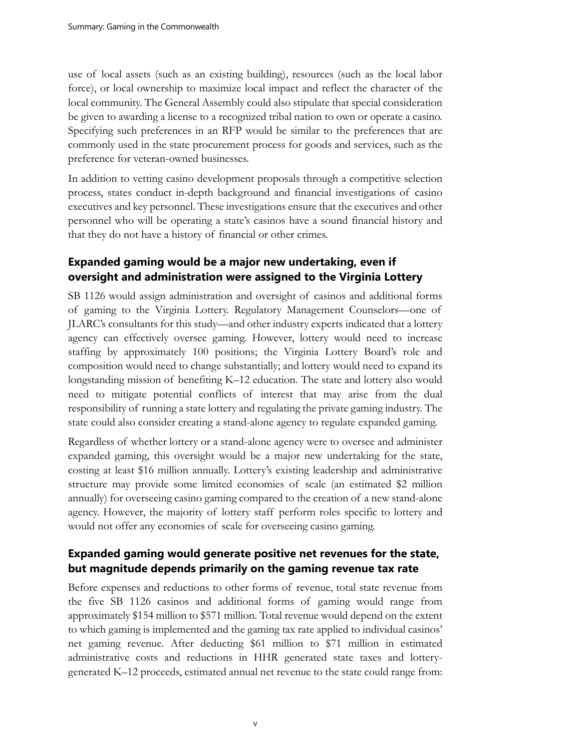use of local assets (such as an existing building), resources (such as the local labor force), or local ownership to maximize local impact and reflect the character of the local community. The General Assembly could also stipulate that special consideration be given to awarding a license to a recognized tribal nation to own or operate a casino. Specifying such preferences in an RFP would be similar to the preferences that are commonly used in the state procurement process for goods and services, such as the preference for veteran-owned businesses.

In addition to vetting casino development proposals through a competitive selection process, states conduct in-depth background and financial investigations of casino executives and key personnel. These investigations ensure that the executives and other personnel who will be operating a state's casinos have a sound financial history and that they do not have a history of financial or other crimes.

## **Expanded gaming would be a major new undertaking, even if oversight and administration were assigned to the Virginia Lottery**

SB 1126 would assign administration and oversight of casinos and additional forms of gaming to the Virginia Lottery. Regulatory Management Counselors—one of JLARC's consultants for this study—and other industry experts indicated that a lottery agency can effectively oversee gaming. However, lottery would need to increase staffing by approximately 100 positions; the Virginia Lottery Board's role and composition would need to change substantially; and lottery would need to expand its longstanding mission of benefiting K–12 education. The state and lottery also would need to mitigate potential conflicts of interest that may arise from the dual responsibility of running a state lottery and regulating the private gaming industry. The state could also consider creating a stand-alone agency to regulate expanded gaming.

Regardless of whether lottery or a stand-alone agency were to oversee and administer expanded gaming, this oversight would be a major new undertaking for the state, costing at least \$16 million annually. Lottery's existing leadership and administrative structure may provide some limited economies of scale (an estimated \$2 million annually) for overseeing casino gaming compared to the creation of a new stand-alone agency. However, the majority of lottery staff perform roles specific to lottery and would not offer any economies of scale for overseeing casino gaming.

## **Expanded gaming would generate positive net revenues for the state, but magnitude depends primarily on the gaming revenue tax rate**

Before expenses and reductions to other forms of revenue, total state revenue from the five SB 1126 casinos and additional forms of gaming would range from approximately \$154 million to \$571 million. Total revenue would depend on the extent to which gaming is implemented and the gaming tax rate applied to individual casinos' net gaming revenue. After deducting \$61 million to \$71 million in estimated administrative costs and reductions in HHR generated state taxes and lotterygenerated K–12 proceeds, estimated annual net revenue to the state could range from: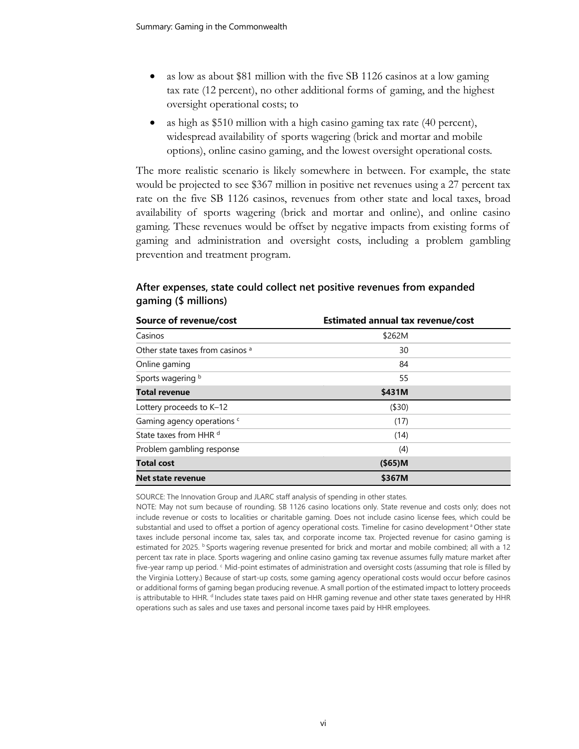- as low as about \$81 million with the five SB 1126 casinos at a low gaming tax rate (12 percent), no other additional forms of gaming, and the highest oversight operational costs; to
- as high as \$510 million with a high casino gaming tax rate (40 percent), widespread availability of sports wagering (brick and mortar and mobile options), online casino gaming, and the lowest oversight operational costs.

The more realistic scenario is likely somewhere in between. For example, the state would be projected to see \$367 million in positive net revenues using a 27 percent tax rate on the five SB 1126 casinos, revenues from other state and local taxes, broad availability of sports wagering (brick and mortar and online), and online casino gaming. These revenues would be offset by negative impacts from existing forms of gaming and administration and oversight costs, including a problem gambling prevention and treatment program.

| Source of revenue/cost           | <b>Estimated annual tax revenue/cost</b> |  |  |
|----------------------------------|------------------------------------------|--|--|
| Casinos                          | \$262M                                   |  |  |
| Other state taxes from casinos a | 30                                       |  |  |
| Online gaming                    | 84                                       |  |  |
| Sports wagering b                | 55                                       |  |  |
| <b>Total revenue</b>             | \$431M                                   |  |  |
| Lottery proceeds to K-12         | ( \$30)                                  |  |  |
| Gaming agency operations c       | (17)                                     |  |  |
| State taxes from HHR d           | (14)                                     |  |  |
| Problem gambling response        | (4)                                      |  |  |
| <b>Total cost</b>                | $($ \$65)M                               |  |  |
| Net state revenue                | \$367M                                   |  |  |

## **After expenses, state could collect net positive revenues from expanded gaming (\$ millions)**

SOURCE: The Innovation Group and JLARC staff analysis of spending in other states.

NOTE: May not sum because of rounding. SB 1126 casino locations only. State revenue and costs only; does not include revenue or costs to localities or charitable gaming. Does not include casino license fees, which could be substantial and used to offset a portion of agency operational costs. Timeline for casino development<sup>a</sup> Other state taxes include personal income tax, sales tax, and corporate income tax. Projected revenue for casino gaming is estimated for 2025. **b** Sports wagering revenue presented for brick and mortar and mobile combined; all with a 12 percent tax rate in place. Sports wagering and online casino gaming tax revenue assumes fully mature market after five-year ramp up period. <sup>c</sup> Mid-point estimates of administration and oversight costs (assuming that role is filled by the Virginia Lottery.) Because of start-up costs, some gaming agency operational costs would occur before casinos or additional forms of gaming began producing revenue. A small portion of the estimated impact to lottery proceeds is attributable to HHR. <sup>d</sup> Includes state taxes paid on HHR gaming revenue and other state taxes generated by HHR operations such as sales and use taxes and personal income taxes paid by HHR employees.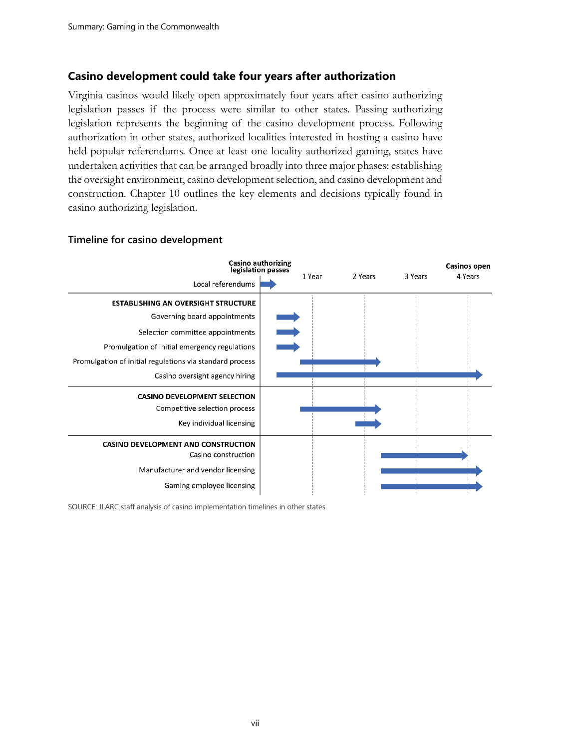#### **Casino development could take four years after authorization**

Virginia casinos would likely open approximately four years after casino authorizing legislation passes if the process were similar to other states. Passing authorizing legislation represents the beginning of the casino development process. Following authorization in other states, authorized localities interested in hosting a casino have held popular referendums. Once at least one locality authorized gaming, states have undertaken activities that can be arranged broadly into three major phases: establishing the oversight environment, casino development selection, and casino development and construction. Chapter 10 outlines the key elements and decisions typically found in casino authorizing legislation.



#### **Timeline for casino development**

SOURCE: JLARC staff analysis of casino implementation timelines in other states.